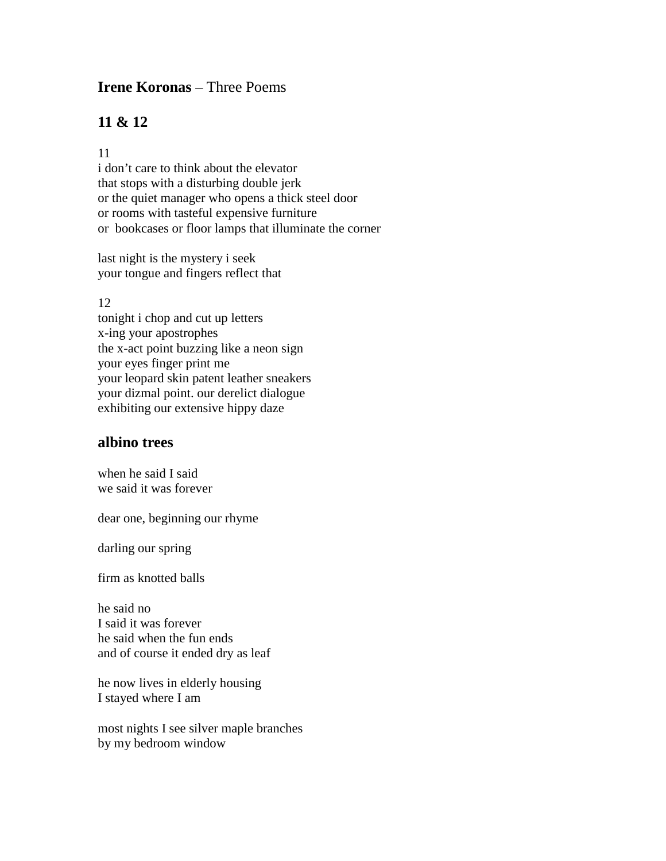# **Irene Koronas** – Three Poems

# **11 & 12**

#### 11

i don't care to think about the elevator that stops with a disturbing double jerk or the quiet manager who opens a thick steel door or rooms with tasteful expensive furniture or bookcases or floor lamps that illuminate the corner

last night is the mystery i seek your tongue and fingers reflect that

#### 12

tonight i chop and cut up letters x-ing your apostrophes the x-act point buzzing like a neon sign your eyes finger print me your leopard skin patent leather sneakers your dizmal point. our derelict dialogue exhibiting our extensive hippy daze

### **albino trees**

when he said I said we said it was forever

dear one, beginning our rhyme

darling our spring

firm as knotted balls

he said no I said it was forever he said when the fun ends and of course it ended dry as leaf

he now lives in elderly housing I stayed where I am

most nights I see silver maple branches by my bedroom window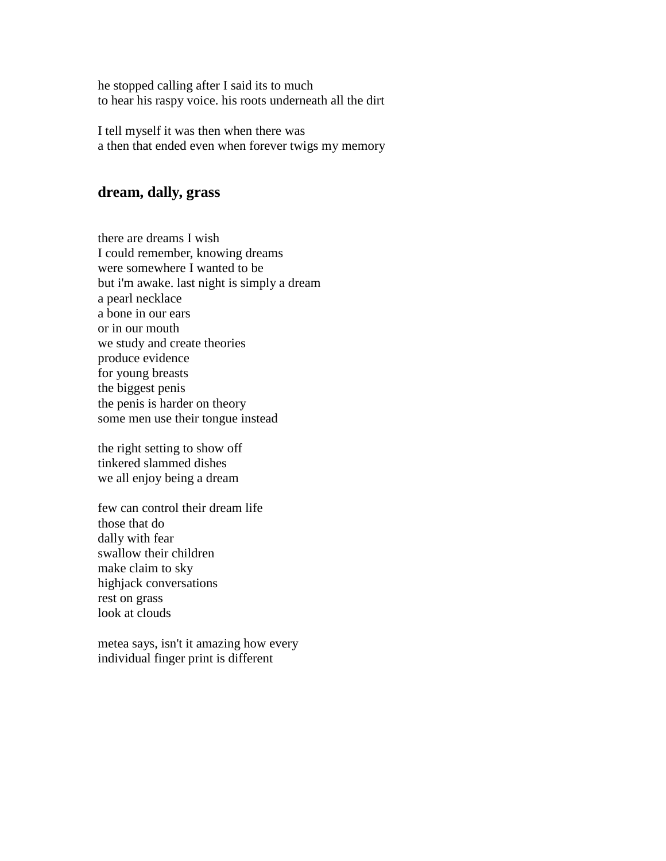he stopped calling after I said its to much to hear his raspy voice. his roots underneath all the dirt

I tell myself it was then when there was a then that ended even when forever twigs my memory

# **dream, dally, grass**

there are dreams I wish I could remember, knowing dreams were somewhere I wanted to be but i'm awake. last night is simply a dream a pearl necklace a bone in our ears or in our mouth we study and create theories produce evidence for young breasts the biggest penis the penis is harder on theory some men use their tongue instead

the right setting to show off tinkered slammed dishes we all enjoy being a dream

few can control their dream life those that do dally with fear swallow their children make claim to sky highjack conversations rest on grass look at clouds

metea says, isn't it amazing how every individual finger print is different